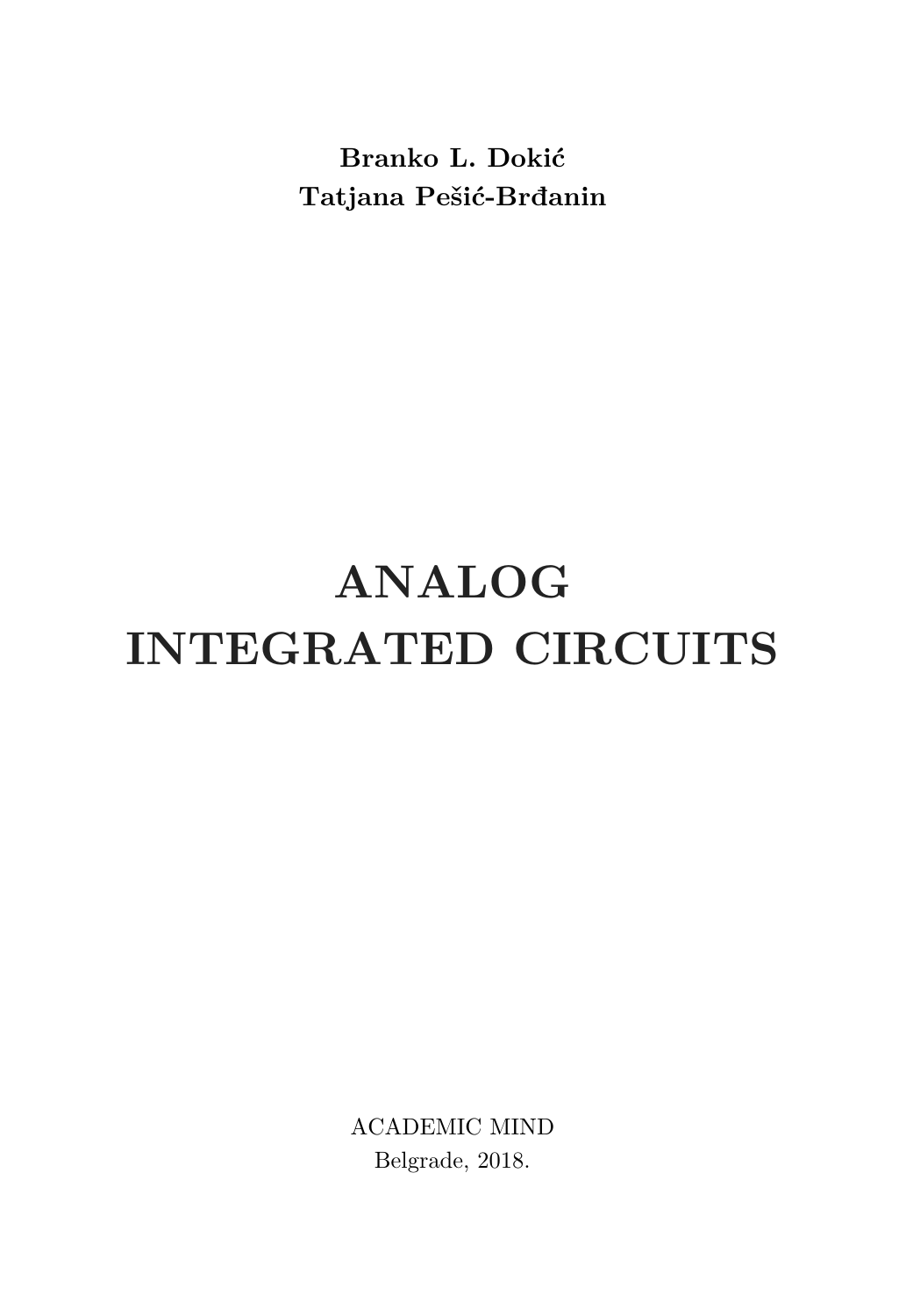**Branko L. Dokić Tatjana Pešić-Brđanin** 

# **ANALOG INTEGRATED CIRCUITS**

ACADEMIC MIND Belgrade, 2018.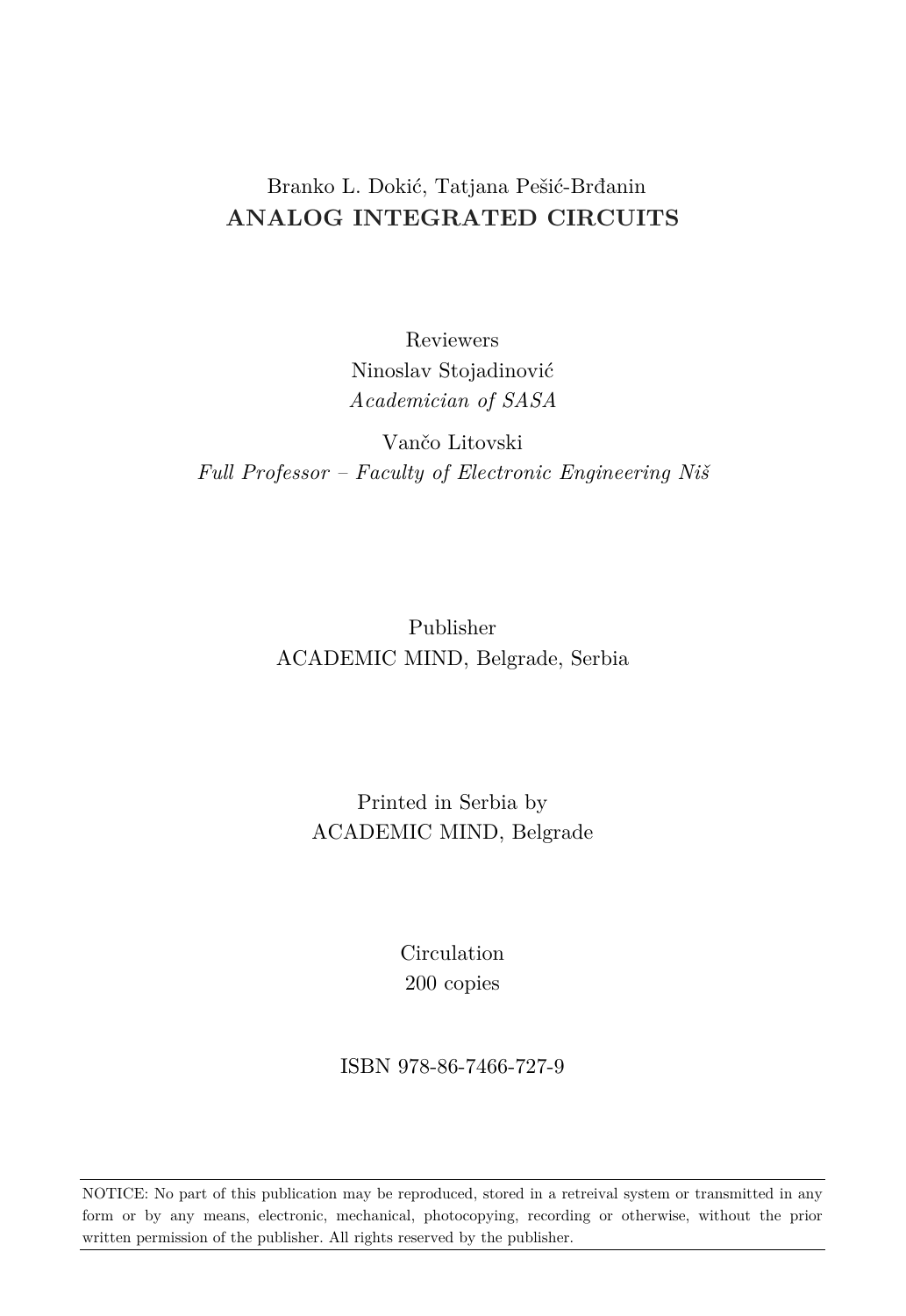#### Branko L. Dokić, Tatjana Pešić-Brđanin **ANALOG INTEGRATED CIRCUITS**

Reviewers Ninoslav Stojadinović *Academician of SASA*

Vančo Litovski *Full Professor – Faculty of Electronic Engineering Niš* 

> Publisher ACADEMIC MIND, Belgrade, Serbia

> > Printed in Serbia by ACADEMIC MIND, Belgrade

> > > Circulation 200 copies

ISBN 978-86-7466-727-9

NOTICE: No part of this publication may be reproduced, stored in a retreival system or transmitted in any form or by any means, electronic, mechanical, photocopying, recording or otherwise, without the prior written permission of the publisher. All rights reserved by the publisher.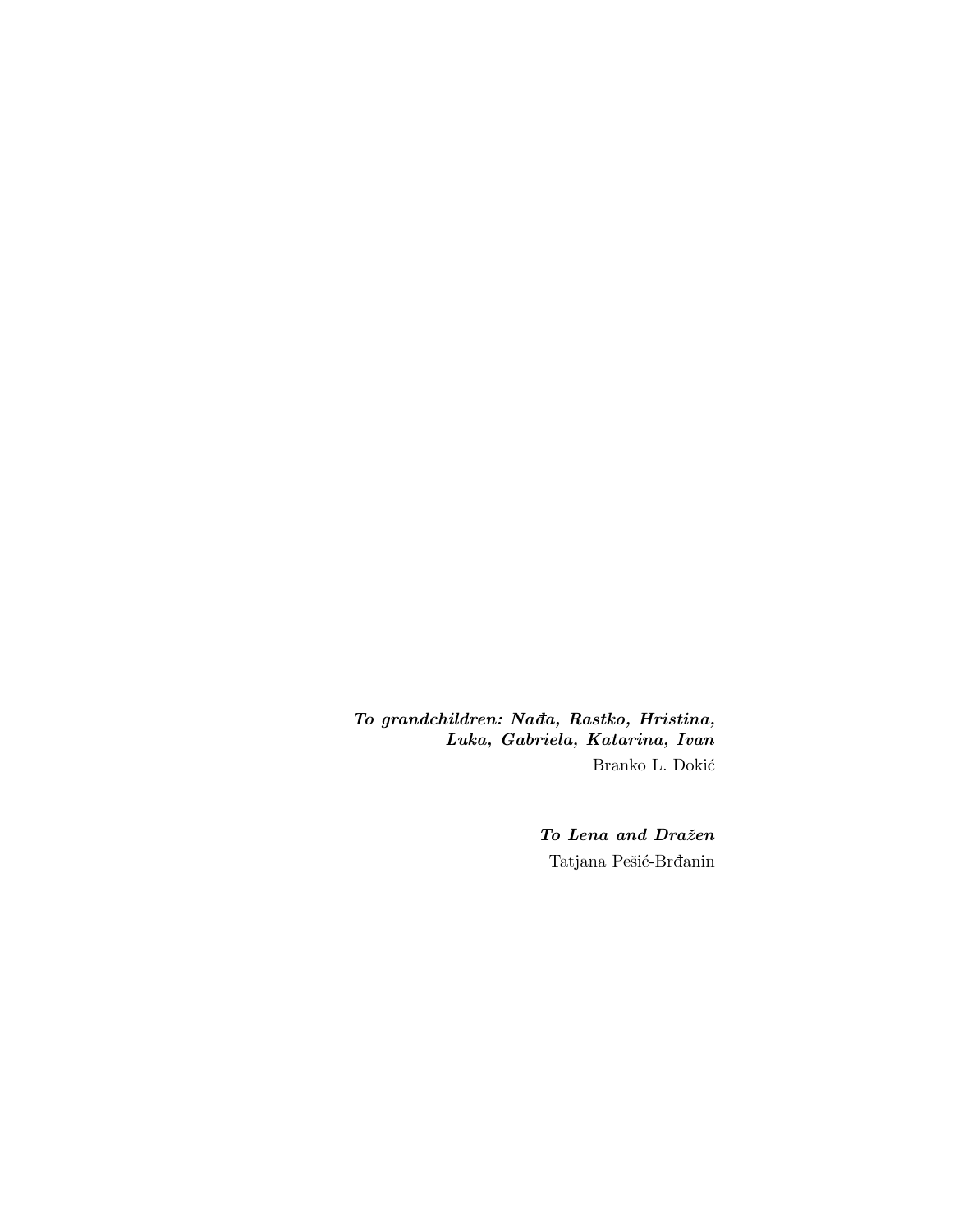*To grandchildren: Nada, Rastko, Hristina, Luka, Gabriela, Katarina, Ivan* Branko L. Dokić

> *To Lena and Draˇzen* Tatjana Pešić-Brđanin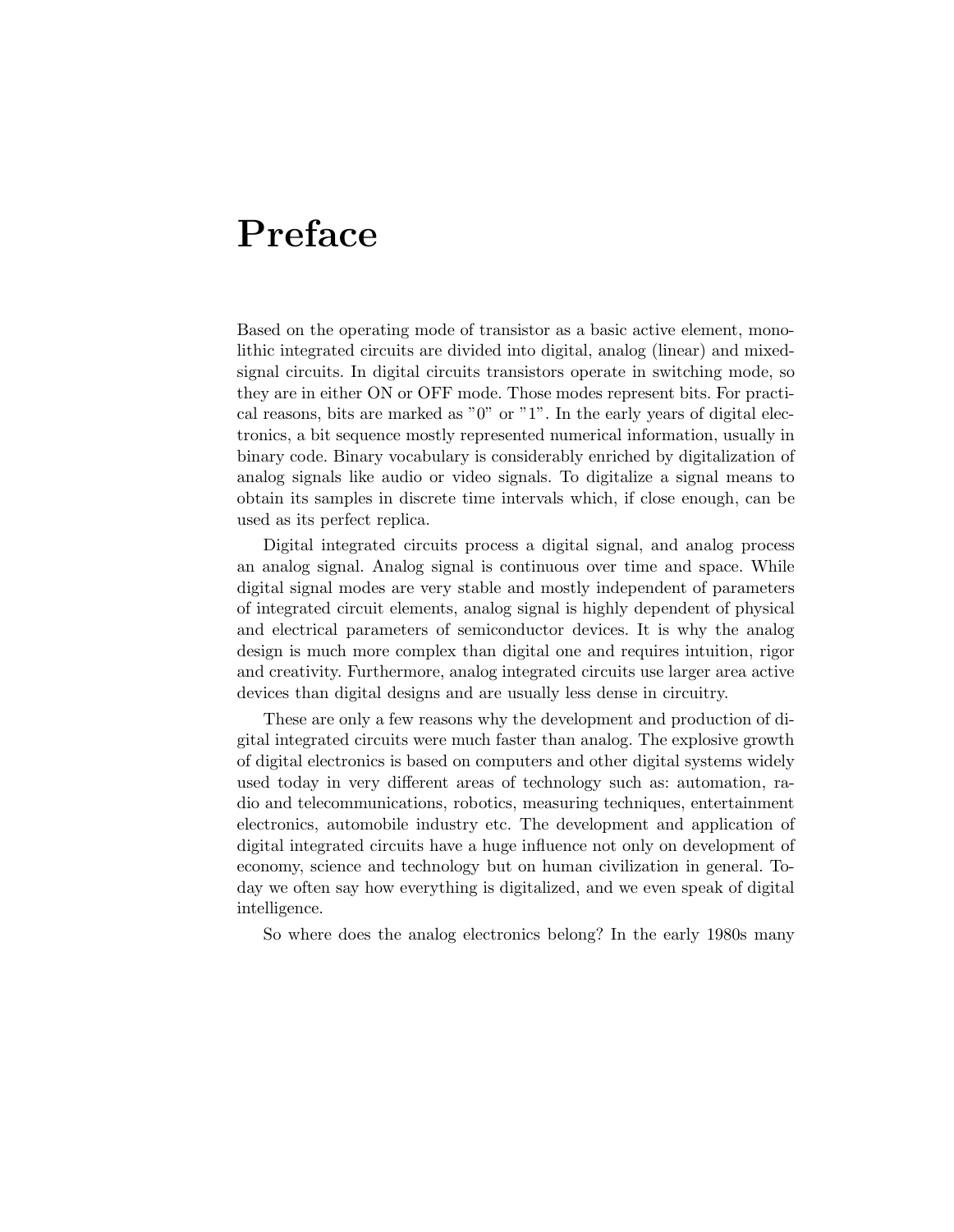### Preface

Based on the operating mode of transistor as a basic active element, monolithic integrated circuits are divided into digital, analog (linear) and mixedsignal circuits. In digital circuits transistors operate in switching mode, so they are in either ON or OFF mode. Those modes represent bits. For practical reasons, bits are marked as " $0$ " or "1". In the early years of digital electronics, a bit sequence mostly represented numerical information, usually in binary code. Binary vocabulary is considerably enriched by digitalization of analog signals like audio or video signals. To digitalize a signal means to obtain its samples in discrete time intervals which, if close enough, can be used as its perfect replica.

Digital integrated circuits process a digital signal, and analog process an analog signal. Analog signal is continuous over time and space. While digital signal modes are very stable and mostly independent of parameters of integrated circuit elements, analog signal is highly dependent of physical and electrical parameters of semiconductor devices. It is why the analog design is much more complex than digital one and requires intuition, rigor and creativity. Furthermore, analog integrated circuits use larger area active devices than digital designs and are usually less dense in circuitry.

These are only a few reasons why the development and production of digital integrated circuits were much faster than analog. The explosive growth of digital electronics is based on computers and other digital systems widely used today in very different areas of technology such as: automation, radio and telecommunications, robotics, measuring techniques, entertainment electronics, automobile industry etc. The development and application of digital integrated circuits have a huge influence not only on development of economy, science and technology but on human civilization in general. Today we often say how everything is digitalized, and we even speak of digital intelligence.

So where does the analog electronics belong? In the early 1980s many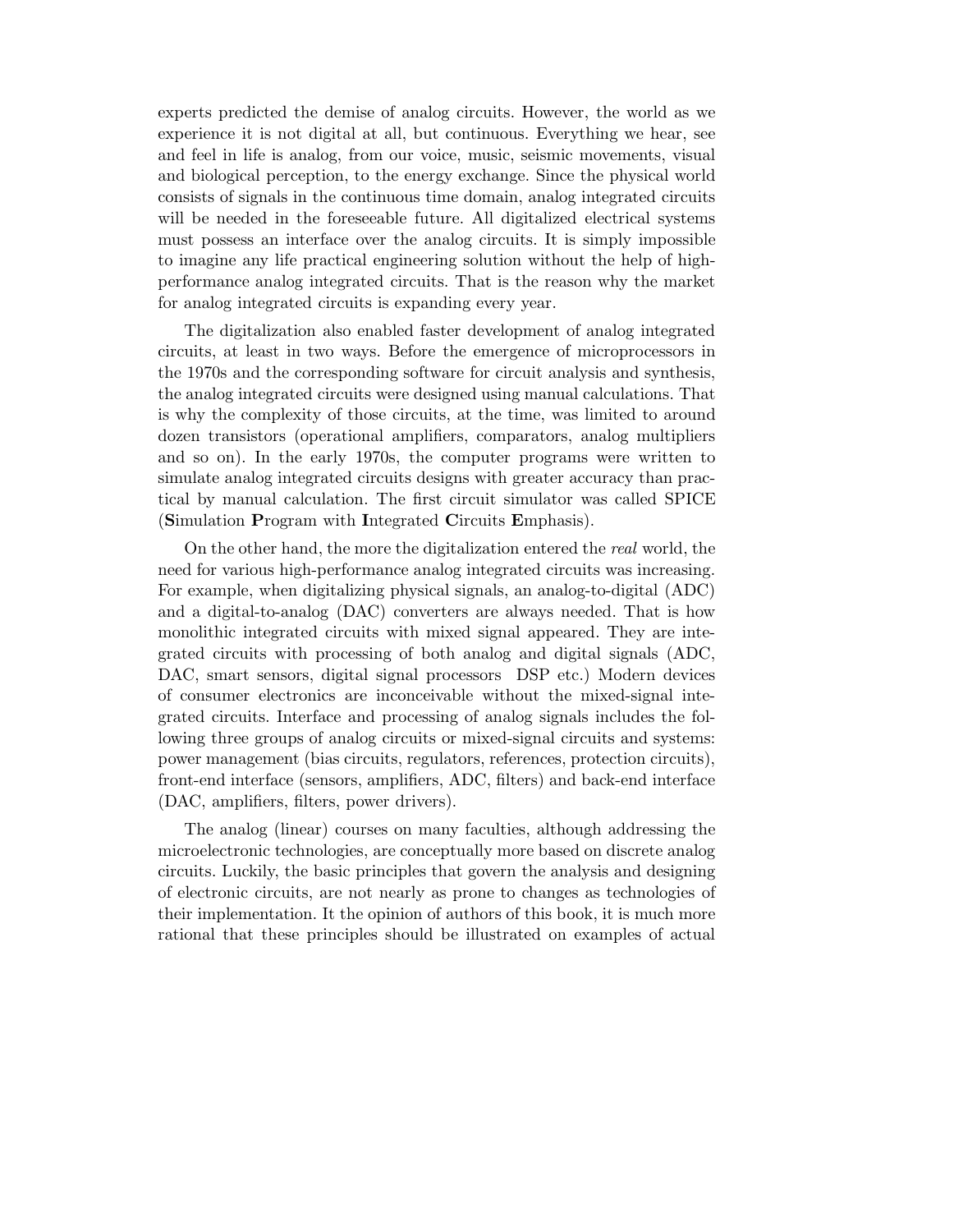experts predicted the demise of analog circuits. However, the world as we experience it is not digital at all, but continuous. Everything we hear, see and feel in life is analog, from our voice, music, seismic movements, visual and biological perception, to the energy exchange. Since the physical world consists of signals in the continuous time domain, analog integrated circuits will be needed in the foreseeable future. All digitalized electrical systems must possess an interface over the analog circuits. It is simply impossible to imagine any life practical engineering solution without the help of highperformance analog integrated circuits. That is the reason why the market for analog integrated circuits is expanding every year.

The digitalization also enabled faster development of analog integrated circuits, at least in two ways. Before the emergence of microprocessors in the 1970s and the corresponding software for circuit analysis and synthesis, the analog integrated circuits were designed using manual calculations. That is why the complexity of those circuits, at the time, was limited to around dozen transistors (operational amplifiers, comparators, analog multipliers and so on). In the early 1970s, the computer programs were written to simulate analog integrated circuits designs with greater accuracy than practical by manual calculation. The first circuit simulator was called SPICE (Simulation Program with Integrated Circuits Emphasis).

On the other hand, the more the digitalization entered the real world, the need for various high-performance analog integrated circuits was increasing. For example, when digitalizing physical signals, an analog-to-digital (ADC) and a digital-to-analog (DAC) converters are always needed. That is how monolithic integrated circuits with mixed signal appeared. They are integrated circuits with processing of both analog and digital signals (ADC, DAC, smart sensors, digital signal processors DSP etc.) Modern devices of consumer electronics are inconceivable without the mixed-signal integrated circuits. Interface and processing of analog signals includes the following three groups of analog circuits or mixed-signal circuits and systems: power management (bias circuits, regulators, references, protection circuits), front-end interface (sensors, amplifiers, ADC, filters) and back-end interface (DAC, amplifiers, filters, power drivers).

The analog (linear) courses on many faculties, although addressing the microelectronic technologies, are conceptually more based on discrete analog circuits. Luckily, the basic principles that govern the analysis and designing of electronic circuits, are not nearly as prone to changes as technologies of their implementation. It the opinion of authors of this book, it is much more rational that these principles should be illustrated on examples of actual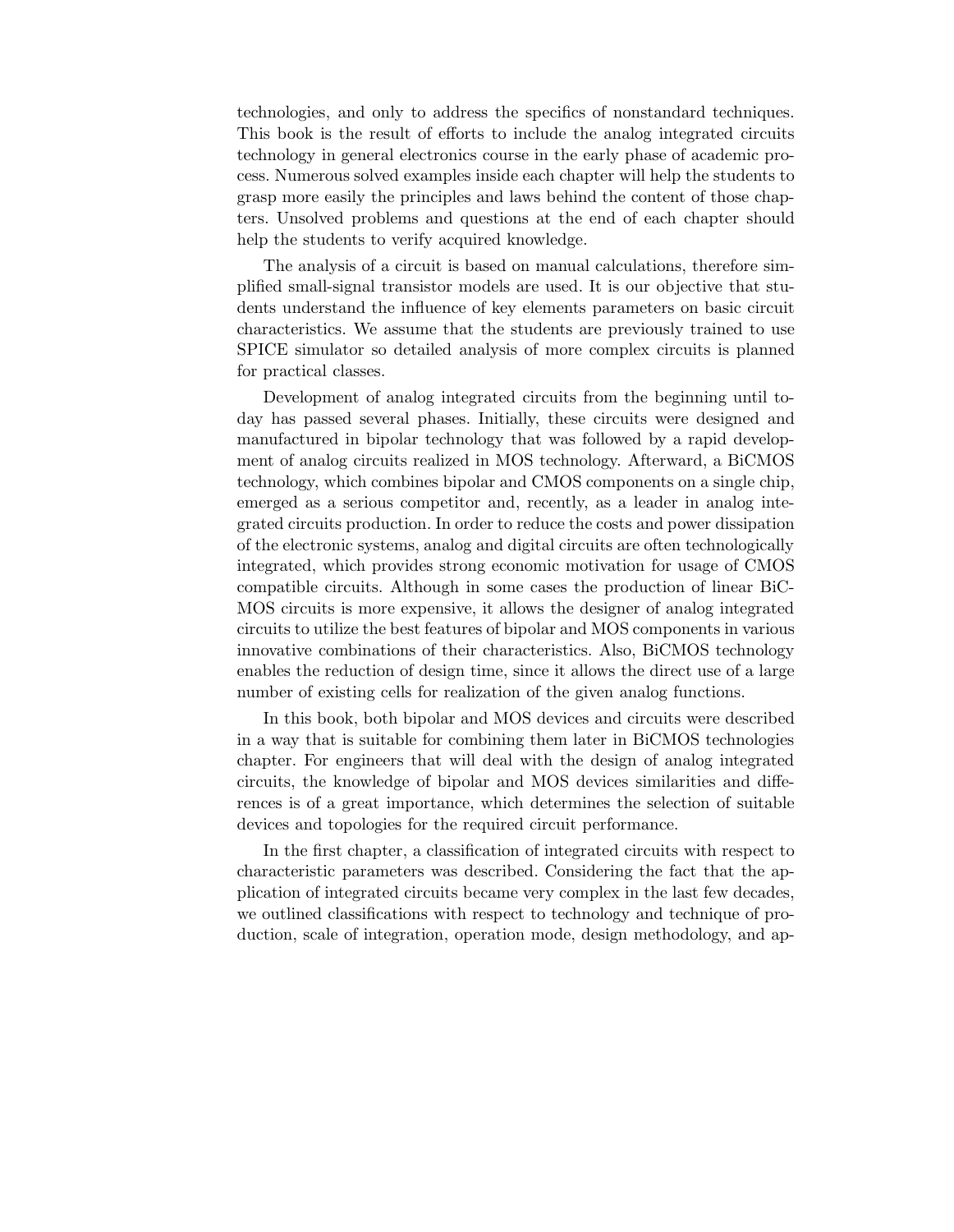technologies, and only to address the specifics of nonstandard techniques. This book is the result of efforts to include the analog integrated circuits technology in general electronics course in the early phase of academic process. Numerous solved examples inside each chapter will help the students to grasp more easily the principles and laws behind the content of those chapters. Unsolved problems and questions at the end of each chapter should help the students to verify acquired knowledge.

The analysis of a circuit is based on manual calculations, therefore simplified small-signal transistor models are used. It is our objective that students understand the influence of key elements parameters on basic circuit characteristics. We assume that the students are previously trained to use SPICE simulator so detailed analysis of more complex circuits is planned for practical classes.

Development of analog integrated circuits from the beginning until today has passed several phases. Initially, these circuits were designed and manufactured in bipolar technology that was followed by a rapid development of analog circuits realized in MOS technology. Afterward, a BiCMOS technology, which combines bipolar and CMOS components on a single chip, emerged as a serious competitor and, recently, as a leader in analog integrated circuits production. In order to reduce the costs and power dissipation of the electronic systems, analog and digital circuits are often technologically integrated, which provides strong economic motivation for usage of CMOS compatible circuits. Although in some cases the production of linear BiC-MOS circuits is more expensive, it allows the designer of analog integrated circuits to utilize the best features of bipolar and MOS components in various innovative combinations of their characteristics. Also, BiCMOS technology enables the reduction of design time, since it allows the direct use of a large number of existing cells for realization of the given analog functions.

In this book, both bipolar and MOS devices and circuits were described in a way that is suitable for combining them later in BiCMOS technologies chapter. For engineers that will deal with the design of analog integrated circuits, the knowledge of bipolar and MOS devices similarities and differences is of a great importance, which determines the selection of suitable devices and topologies for the required circuit performance.

In the first chapter, a classification of integrated circuits with respect to characteristic parameters was described. Considering the fact that the application of integrated circuits became very complex in the last few decades, we outlined classifications with respect to technology and technique of production, scale of integration, operation mode, design methodology, and ap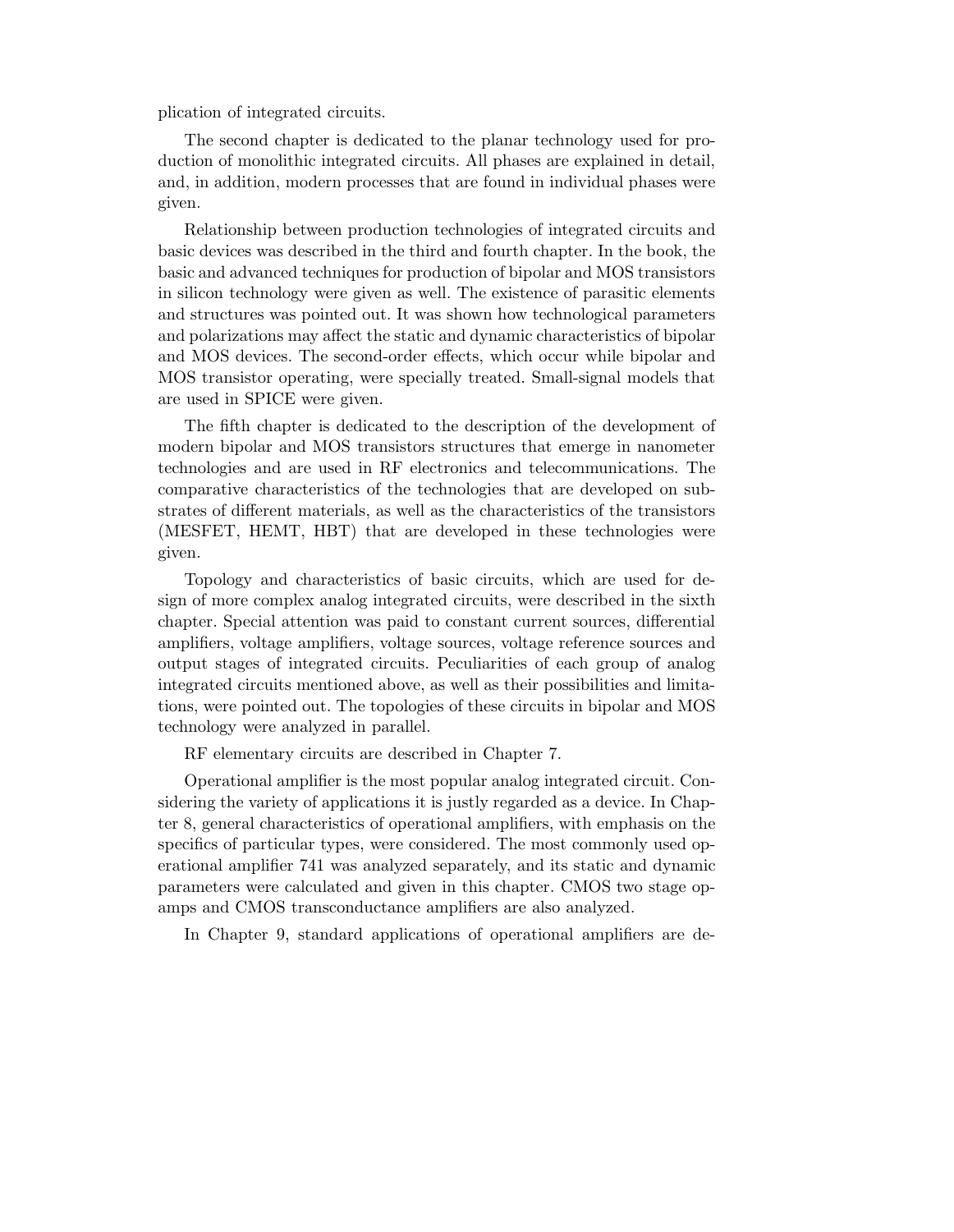plication of integrated circuits.

The second chapter is dedicated to the planar technology used for production of monolithic integrated circuits. All phases are explained in detail, and, in addition, modern processes that are found in individual phases were given.

Relationship between production technologies of integrated circuits and basic devices was described in the third and fourth chapter. In the book, the basic and advanced techniques for production of bipolar and MOS transistors in silicon technology were given as well. The existence of parasitic elements and structures was pointed out. It was shown how technological parameters and polarizations may affect the static and dynamic characteristics of bipolar and MOS devices. The second-order effects, which occur while bipolar and MOS transistor operating, were specially treated. Small-signal models that are used in SPICE were given.

The fifth chapter is dedicated to the description of the development of modern bipolar and MOS transistors structures that emerge in nanometer technologies and are used in RF electronics and telecommunications. The comparative characteristics of the technologies that are developed on substrates of different materials, as well as the characteristics of the transistors (MESFET, HEMT, HBT) that are developed in these technologies were given.

Topology and characteristics of basic circuits, which are used for design of more complex analog integrated circuits, were described in the sixth chapter. Special attention was paid to constant current sources, differential amplifiers, voltage amplifiers, voltage sources, voltage reference sources and output stages of integrated circuits. Peculiarities of each group of analog integrated circuits mentioned above, as well as their possibilities and limitations, were pointed out. The topologies of these circuits in bipolar and MOS technology were analyzed in parallel.

RF elementary circuits are described in Chapter 7.

Operational amplifier is the most popular analog integrated circuit. Considering the variety of applications it is justly regarded as a device. In Chapter 8, general characteristics of operational amplifiers, with emphasis on the specifics of particular types, were considered. The most commonly used operational amplifier 741 was analyzed separately, and its static and dynamic parameters were calculated and given in this chapter. CMOS two stage opamps and CMOS transconductance amplifiers are also analyzed.

In Chapter 9, standard applications of operational amplifiers are de-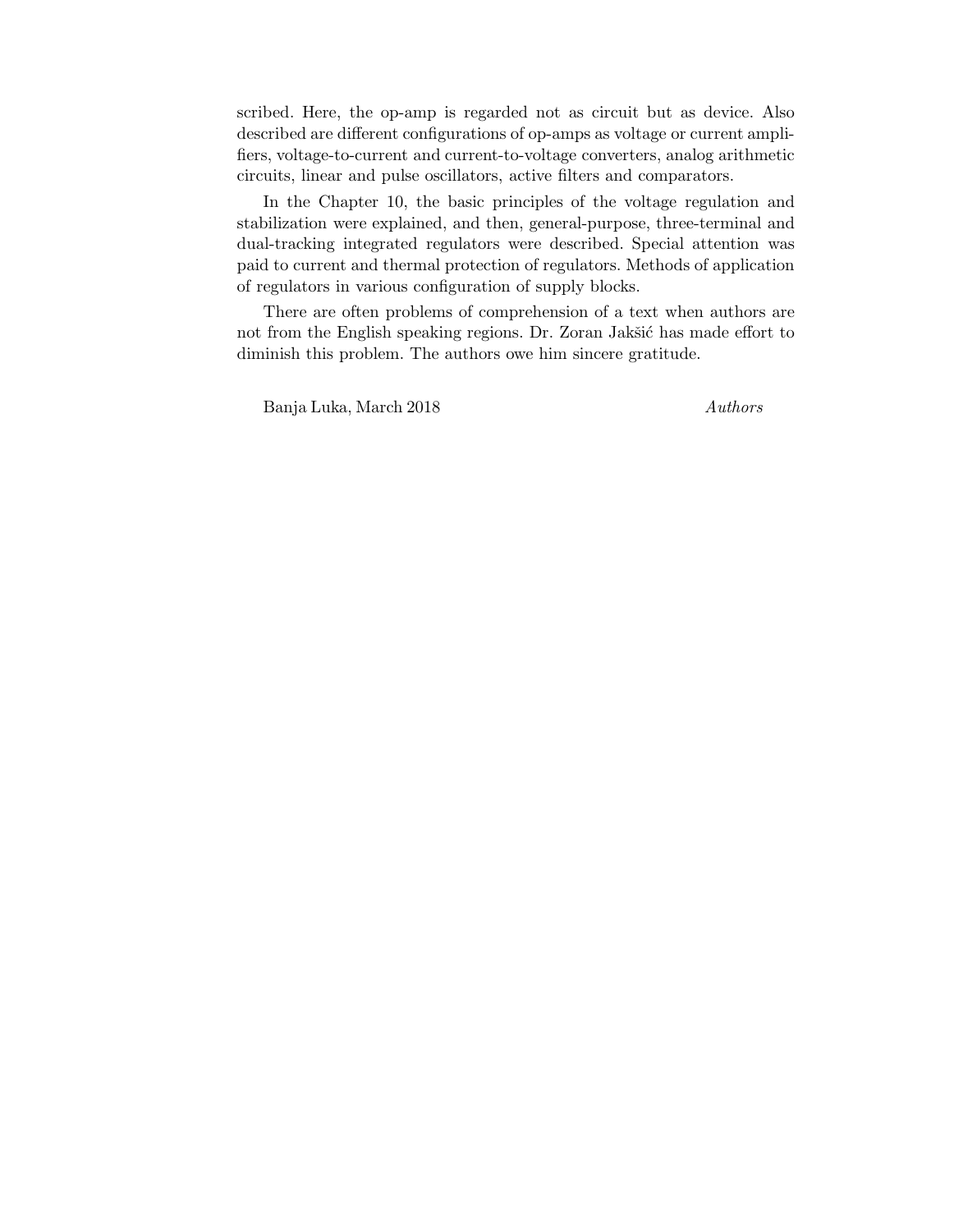scribed. Here, the op-amp is regarded not as circuit but as device. Also described are different configurations of op-amps as voltage or current amplifiers, voltage-to-current and current-to-voltage converters, analog arithmetic circuits, linear and pulse oscillators, active filters and comparators.

In the Chapter 10, the basic principles of the voltage regulation and stabilization were explained, and then, general-purpose, three-terminal and dual-tracking integrated regulators were described. Special attention was paid to current and thermal protection of regulators. Methods of application of regulators in various configuration of supply blocks.

There are often problems of comprehension of a text when authors are not from the English speaking regions. Dr. Zoran Jakšić has made effort to diminish this problem. The authors owe him sincere gratitude.

Banja Luka, March 2018 Authors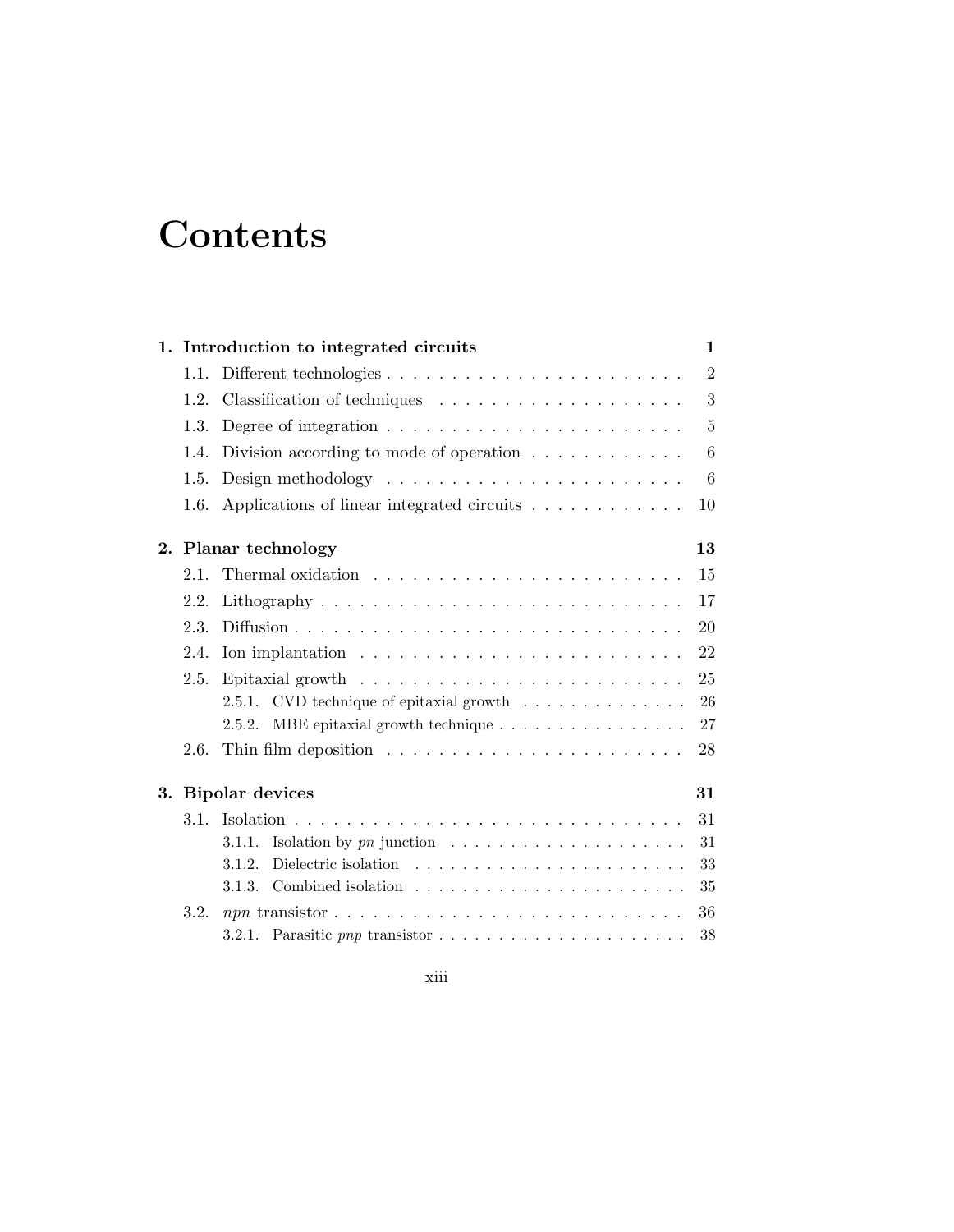## **Contents**

|    | 1. Introduction to integrated circuits |                                                                                  |                |  |
|----|----------------------------------------|----------------------------------------------------------------------------------|----------------|--|
|    | 1.1.                                   |                                                                                  | $\overline{2}$ |  |
|    | 1.2.                                   |                                                                                  | 3              |  |
|    | 1.3.                                   | Degree of integration $\ldots \ldots \ldots \ldots \ldots \ldots \ldots \ldots$  | $\overline{5}$ |  |
|    | 1.4.                                   | Division according to mode of operation $\ldots \ldots \ldots \ldots$            | 6              |  |
|    |                                        | 6                                                                                |                |  |
|    | 1.6.                                   | Applications of linear integrated circuits                                       | 10             |  |
|    |                                        | 2. Planar technology                                                             | 13             |  |
|    | 2.1.                                   |                                                                                  | 15             |  |
|    | 2.2.                                   |                                                                                  | 17             |  |
|    | 2.3.                                   |                                                                                  | 20             |  |
|    | 2.4.                                   | Ion implantation $\ldots \ldots \ldots \ldots \ldots \ldots \ldots \ldots$       | 22             |  |
|    | 2.5.                                   | Epitaxial growth $\dots \dots \dots \dots \dots \dots \dots \dots \dots$         | 25             |  |
|    |                                        | 2.5.1. CVD technique of epitaxial growth $\ldots \ldots \ldots \ldots$           | 26             |  |
|    |                                        | MBE epitaxial growth technique<br>2.5.2.                                         | $27\,$         |  |
|    | 2.6.                                   | Thin film deposition $\ldots \ldots \ldots \ldots \ldots \ldots \ldots$          | 28             |  |
| 3. |                                        | <b>Bipolar devices</b>                                                           | 31             |  |
|    | $3.1$ .                                |                                                                                  | 31             |  |
|    |                                        | Isolation by $pn$ junction $\ldots \ldots \ldots \ldots \ldots \ldots$<br>3.1.1. | 31             |  |
|    |                                        | 3.1.2.                                                                           | 33             |  |
|    |                                        | 3.1.3. Combined isolation $\ldots \ldots \ldots \ldots \ldots \ldots \ldots$     | 35             |  |
|    | 3.2.                                   |                                                                                  | 36             |  |
|    |                                        | 3.2.1. Parasitic pnp transistor $\ldots \ldots \ldots \ldots \ldots \ldots$      | 38             |  |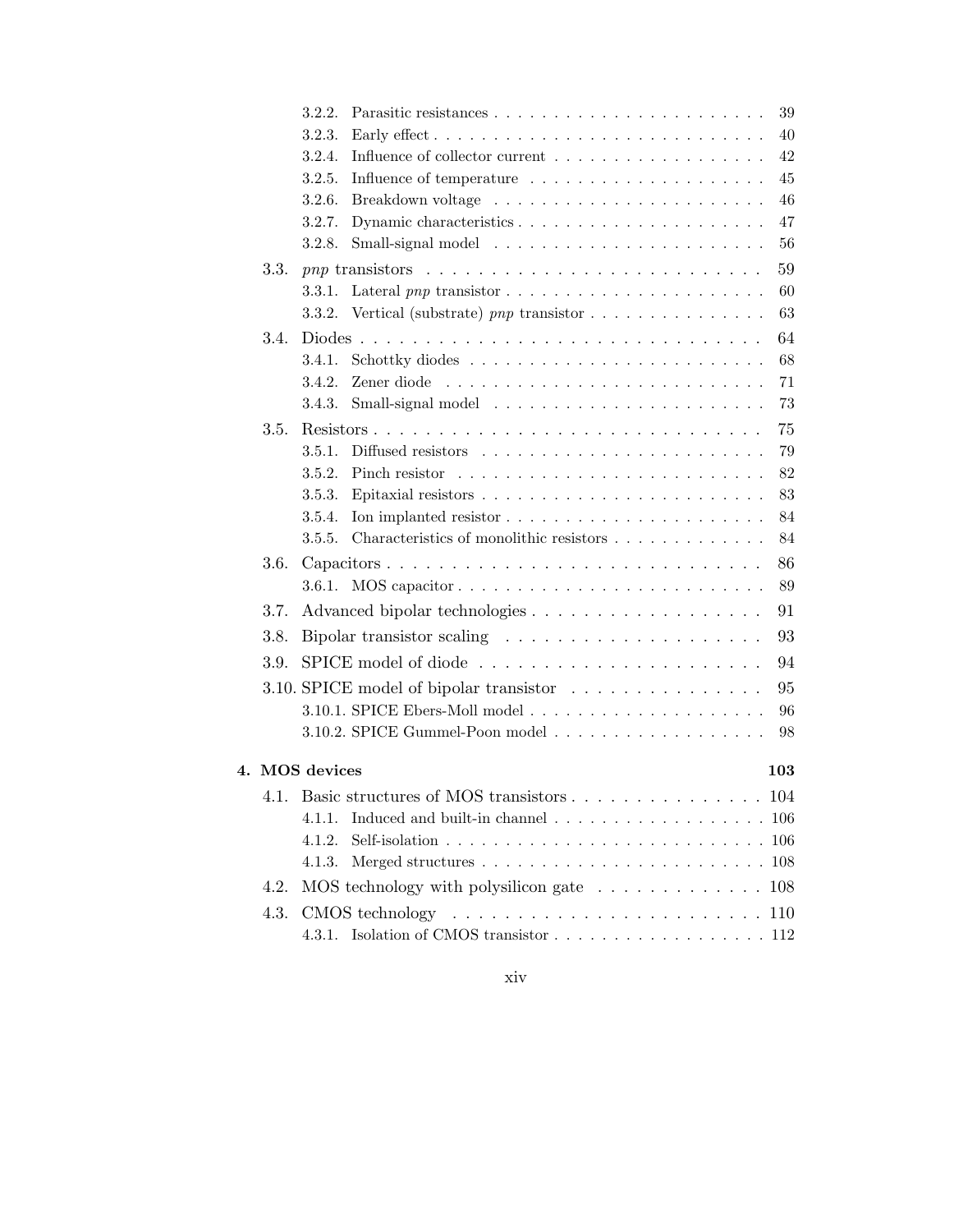|      | 3.2.2.<br>39                                                                                  |
|------|-----------------------------------------------------------------------------------------------|
|      | 40<br>3.2.3.                                                                                  |
|      | 42<br>Influence of collector current<br>3.2.4.                                                |
|      | 45<br>3.2.5.                                                                                  |
|      | 46<br>3.2.6.                                                                                  |
|      | 47<br>3.2.7.                                                                                  |
|      | 56<br>3.2.8.                                                                                  |
| 3.3. | 59                                                                                            |
|      | 60<br>3.3.1.                                                                                  |
|      | 63<br>Vertical (substrate) pnp transistor $\ldots \ldots \ldots \ldots \ldots$<br>3.3.2.      |
| 3.4. | 64                                                                                            |
|      | 68<br>3.4.1.                                                                                  |
|      | 3.4.2.<br>71                                                                                  |
|      | 73<br>3.4.3.                                                                                  |
| 3.5. | 75                                                                                            |
|      | 79<br>3.5.1.                                                                                  |
|      | 82<br>3.5.2.                                                                                  |
|      | 83<br>3.5.3.                                                                                  |
|      | 84<br>Ion implanted resistor $\dots \dots \dots \dots \dots \dots \dots \dots$<br>3.5.4.      |
|      | Characteristics of monolithic resistors<br>3.5.5.<br>84                                       |
| 3.6. | 86<br>Capacitors                                                                              |
|      | 89                                                                                            |
| 3.7. | 91                                                                                            |
| 3.8. | 93<br>Bipolar transistor scaling                                                              |
| 3.9. | 94                                                                                            |
|      | 95<br>3.10. SPICE model of bipolar transistor                                                 |
|      | 96                                                                                            |
|      | 98                                                                                            |
|      |                                                                                               |
|      | 4. MOS devices<br>103                                                                         |
| 4.1. | Basic structures of MOS transistors 104                                                       |
|      | Induced and built-in channel $\ldots \ldots \ldots \ldots \ldots \ldots \ldots 106$<br>4.1.1. |
|      | 4.1.2.                                                                                        |
|      | 4.1.3.<br>108                                                                                 |
| 4.2. | MOS technology with polysilicon gate $\dots \dots \dots \dots \dots \dots \dots$              |
| 4.3. | $CMOS$ technology $\ldots \ldots \ldots \ldots \ldots \ldots \ldots \ldots 110$               |
|      | Isolation of CMOS transistor 112<br>4.3.1.                                                    |
|      |                                                                                               |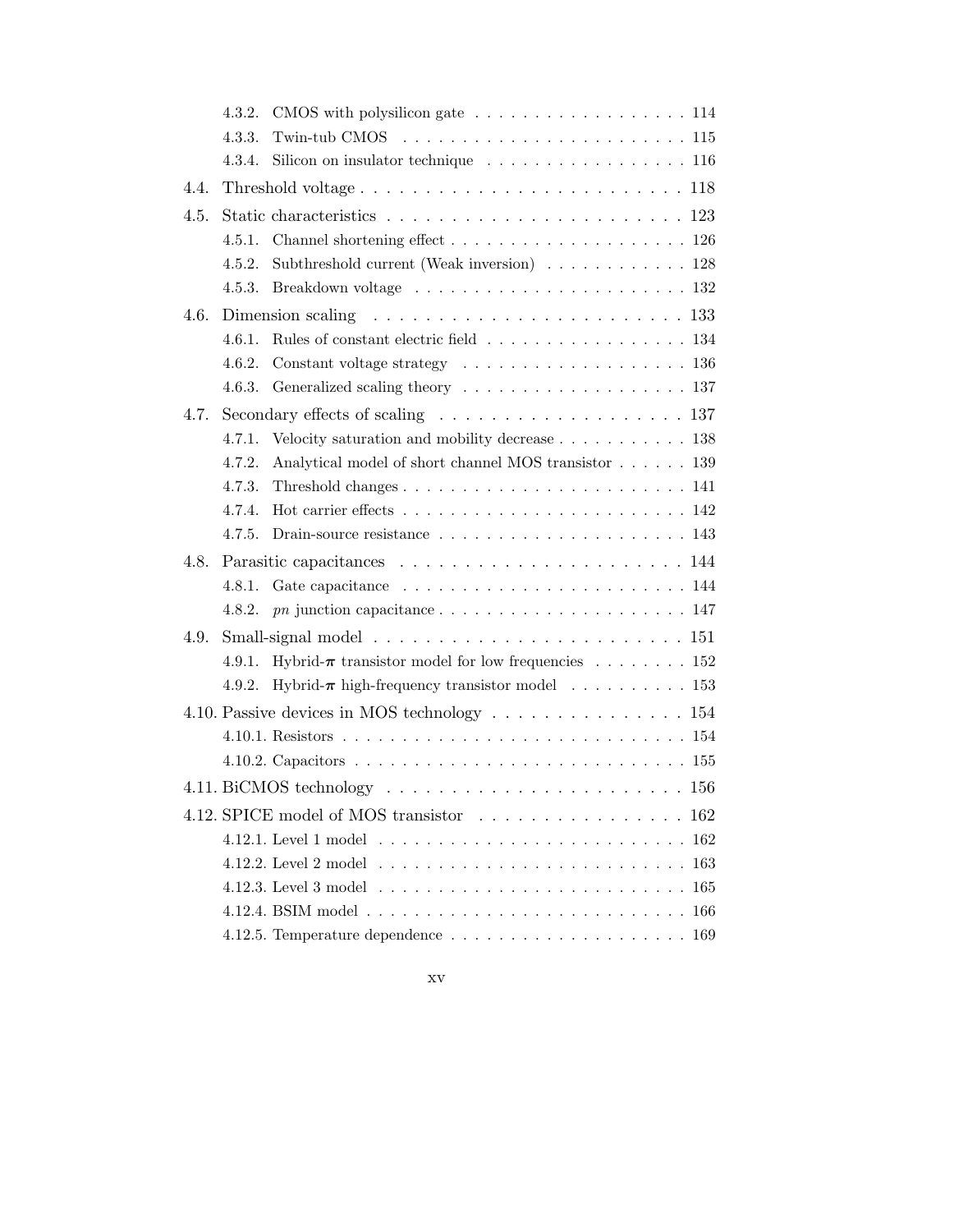|                                         | 4.3.2. | CMOS with polysilicon gate 114                                                            |  |  |  |
|-----------------------------------------|--------|-------------------------------------------------------------------------------------------|--|--|--|
|                                         | 4.3.3. |                                                                                           |  |  |  |
|                                         | 4.3.4. | Silicon on insulator technique $\ldots \ldots \ldots \ldots \ldots \ldots 116$            |  |  |  |
| 4.4.                                    |        |                                                                                           |  |  |  |
| 4.5.                                    |        |                                                                                           |  |  |  |
|                                         | 4.5.1. |                                                                                           |  |  |  |
|                                         | 4.5.2. | Subthreshold current (Weak inversion) $\ldots \ldots \ldots \ldots 128$                   |  |  |  |
|                                         | 4.5.3. |                                                                                           |  |  |  |
| 4.6.                                    |        | Dimension scaling $\ldots \ldots \ldots \ldots \ldots \ldots \ldots \ldots 133$           |  |  |  |
|                                         | 4.6.1. | Rules of constant electric field 134                                                      |  |  |  |
|                                         | 4.6.2. | Constant voltage strategy $\dots \dots \dots \dots \dots \dots \dots \dots \dots$ 136     |  |  |  |
|                                         | 4.6.3. |                                                                                           |  |  |  |
| 4.7.                                    |        | Secondary effects of scaling $\ldots \ldots \ldots \ldots \ldots \ldots 137$              |  |  |  |
|                                         | 4.7.1. | Velocity saturation and mobility decrease 138<br>                                         |  |  |  |
|                                         | 4.7.2. | Analytical model of short channel MOS transistor 139                                      |  |  |  |
|                                         | 4.7.3. |                                                                                           |  |  |  |
|                                         | 4.7.4. | Hot carrier effects $\ldots \ldots \ldots \ldots \ldots \ldots \ldots \ldots \ldots 142$  |  |  |  |
|                                         | 4.7.5. |                                                                                           |  |  |  |
| 4.8.                                    |        |                                                                                           |  |  |  |
|                                         | 4.8.1. |                                                                                           |  |  |  |
|                                         | 4.8.2. |                                                                                           |  |  |  |
| 4.9.                                    |        | Small-signal model $\ldots \ldots \ldots \ldots \ldots \ldots \ldots \ldots \ldots 151$   |  |  |  |
|                                         | 4.9.1. | Hybrid- $\pi$ transistor model for low frequencies 152                                    |  |  |  |
|                                         | 4.9.2. | Hybrid- $\pi$ high-frequency transistor model 153                                         |  |  |  |
|                                         |        | 4.10. Passive devices in MOS technology $\dots \dots \dots \dots \dots \dots \dots \dots$ |  |  |  |
|                                         |        |                                                                                           |  |  |  |
|                                         |        |                                                                                           |  |  |  |
|                                         |        | 4.11. BiCMOS technology $\ldots \ldots \ldots \ldots \ldots \ldots \ldots \ldots 156$     |  |  |  |
| 4.12. SPICE model of MOS transistor 162 |        |                                                                                           |  |  |  |
|                                         |        |                                                                                           |  |  |  |
|                                         |        |                                                                                           |  |  |  |
|                                         |        | -165                                                                                      |  |  |  |
|                                         |        |                                                                                           |  |  |  |
|                                         |        |                                                                                           |  |  |  |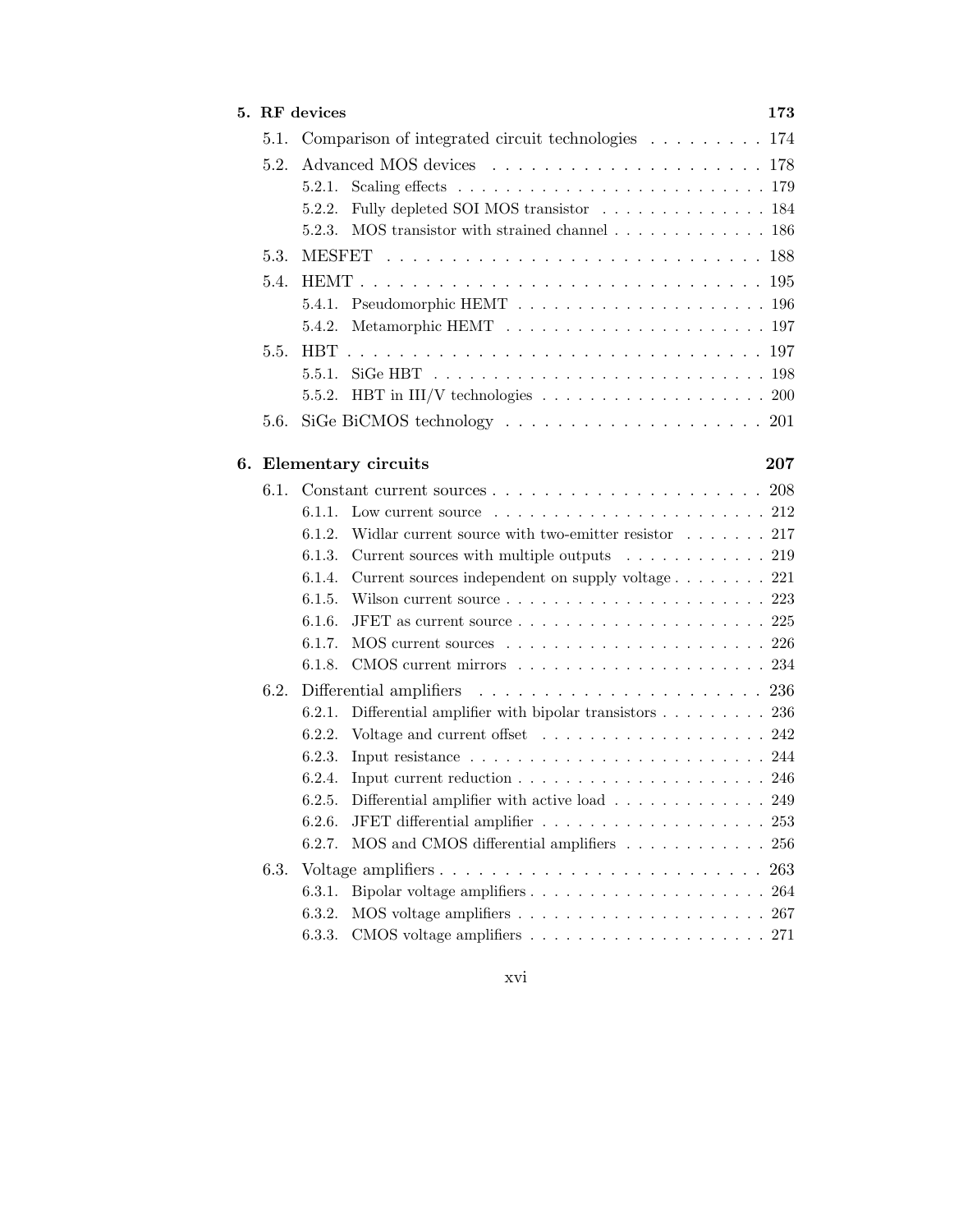| 5. RF devices |        |                                                                                                    |     |
|---------------|--------|----------------------------------------------------------------------------------------------------|-----|
| 5.1.          |        | Comparison of integrated circuit technologies $\ldots \ldots \ldots 174$                           |     |
| 5.2.          |        |                                                                                                    |     |
|               | 5.2.1. | Scaling effects $\ldots \ldots \ldots \ldots \ldots \ldots \ldots \ldots \ldots 179$               |     |
|               | 5.2.2. | Fully depleted SOI MOS transistor 184                                                              |     |
|               | 5.2.3. | MOS transistor with strained channel $\ldots \ldots \ldots \ldots \ldots 186$                      |     |
| 5.3.          |        |                                                                                                    |     |
| 5.4.          |        |                                                                                                    |     |
|               | 5.4.1. |                                                                                                    |     |
|               | 5.4.2. |                                                                                                    |     |
| 5.5.          |        |                                                                                                    |     |
|               | 5.5.1. |                                                                                                    |     |
|               |        | 5.5.2. HBT in III/V technologies $\ldots \ldots \ldots \ldots \ldots \ldots \ldots 200$            |     |
| 5.6.          |        | SiGe BiCMOS technology $\ldots \ldots \ldots \ldots \ldots \ldots \ldots 201$                      |     |
|               |        |                                                                                                    |     |
|               |        | 6. Elementary circuits                                                                             | 207 |
| 6.1.          |        |                                                                                                    |     |
|               | 6.1.1. | Low current source $\ldots \ldots \ldots \ldots \ldots \ldots \ldots 212$                          |     |
|               | 6.1.2. | Widlar current source with two-emitter resistor $\dots \dots 217$                                  |     |
|               | 6.1.3. | Current sources with multiple outputs $\ldots \ldots \ldots \ldots 219$                            |     |
|               | 6.1.4. | Current sources independent on supply voltage 221                                                  |     |
|               | 6.1.5. |                                                                                                    |     |
|               | 6.1.6. | JFET as current source $\ldots \ldots \ldots \ldots \ldots \ldots \ldots 225$                      |     |
|               | 6.1.7. |                                                                                                    |     |
|               | 6.1.8. |                                                                                                    |     |
| 6.2.          |        |                                                                                                    |     |
|               | 6.2.1. | Differential amplifier with bipolar transistors $\ldots \ldots \ldots 236$                         |     |
|               | 6.2.2. |                                                                                                    |     |
|               | 6.2.3. | Input resistance $\ldots \ldots \ldots \ldots \ldots \ldots \ldots \ldots 244$                     |     |
|               | 6.2.4. | Input current reduction $\ldots \ldots \ldots \ldots \ldots \ldots \ldots \ldots 246$              |     |
|               | 6.2.5. | Differential amplifier with active load $\ldots \ldots \ldots \ldots 249$                          |     |
|               | 6.2.6. |                                                                                                    |     |
|               | 6.2.7. | MOS and CMOS differential amplifiers $\ldots \ldots \ldots \ldots 256$                             |     |
| 6.3.          |        |                                                                                                    | 263 |
|               | 6.3.1. |                                                                                                    | 264 |
|               | 6.3.2. | MOS voltage amplifiers $\ldots \ldots \ldots \ldots \ldots \ldots \ldots 267$                      |     |
|               | 6.3.3. | CMOS voltage amplifiers $\hfill\ldots\ldots\ldots\ldots\ldots\ldots\ldots\ldots\ldots\ldots\,$ 271 |     |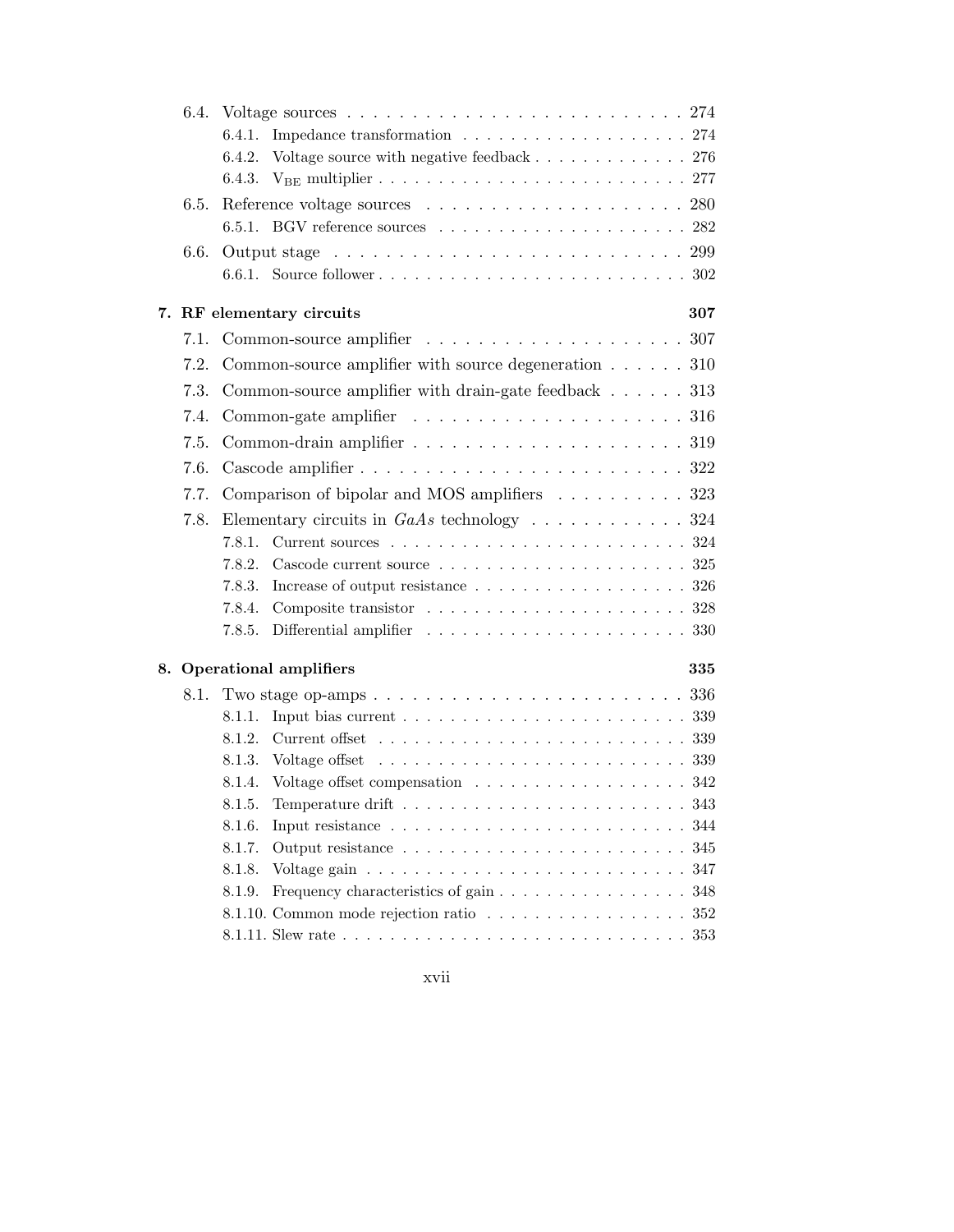| 6.4. |                                                                                     |
|------|-------------------------------------------------------------------------------------|
|      | 6.4.1.                                                                              |
|      | Voltage source with negative feedback $\ldots \ldots \ldots \ldots 276$<br>6.4.2.   |
|      |                                                                                     |
| 6.5. |                                                                                     |
|      | 6.5.1. BGV reference sources $\ldots \ldots \ldots \ldots \ldots \ldots \ldots 282$ |
| 6.6. |                                                                                     |
|      |                                                                                     |
|      | 7. RF elementary circuits<br>307                                                    |
| 7.1. |                                                                                     |
| 7.2. | Common-source amplifier with source degeneration $\ldots \ldots$ 310                |
| 7.3. | Common-source amplifier with drain-gate feedback $\ldots \ldots$ 313                |
|      |                                                                                     |
| 7.4. |                                                                                     |
| 7.5. |                                                                                     |
| 7.6. |                                                                                     |
| 7.7. | Comparison of bipolar and MOS amplifiers 323                                        |
| 7.8. |                                                                                     |
|      | 7.8.1.                                                                              |
|      | 7.8.2.                                                                              |
|      | Increase of output resistance 326<br>7.8.3.                                         |
|      | 7.8.4.                                                                              |
|      | 7.8.5.                                                                              |
|      | 8. Operational amplifiers<br>335                                                    |
| 8.1. |                                                                                     |
|      | 8.1.1.                                                                              |
|      | 8.1.2.                                                                              |
|      | 8.1.3.                                                                              |
|      | 8.1.4. Voltage offset compensation 342                                              |
|      |                                                                                     |
|      | 8.1.6.<br>344                                                                       |
|      | 8.1.7.<br>345                                                                       |
|      | 8.1.8.<br>347                                                                       |
|      | Frequency characteristics of gain<br>8.1.9.<br>348                                  |
|      | 8.1.10. Common mode rejection ratio 352                                             |
|      |                                                                                     |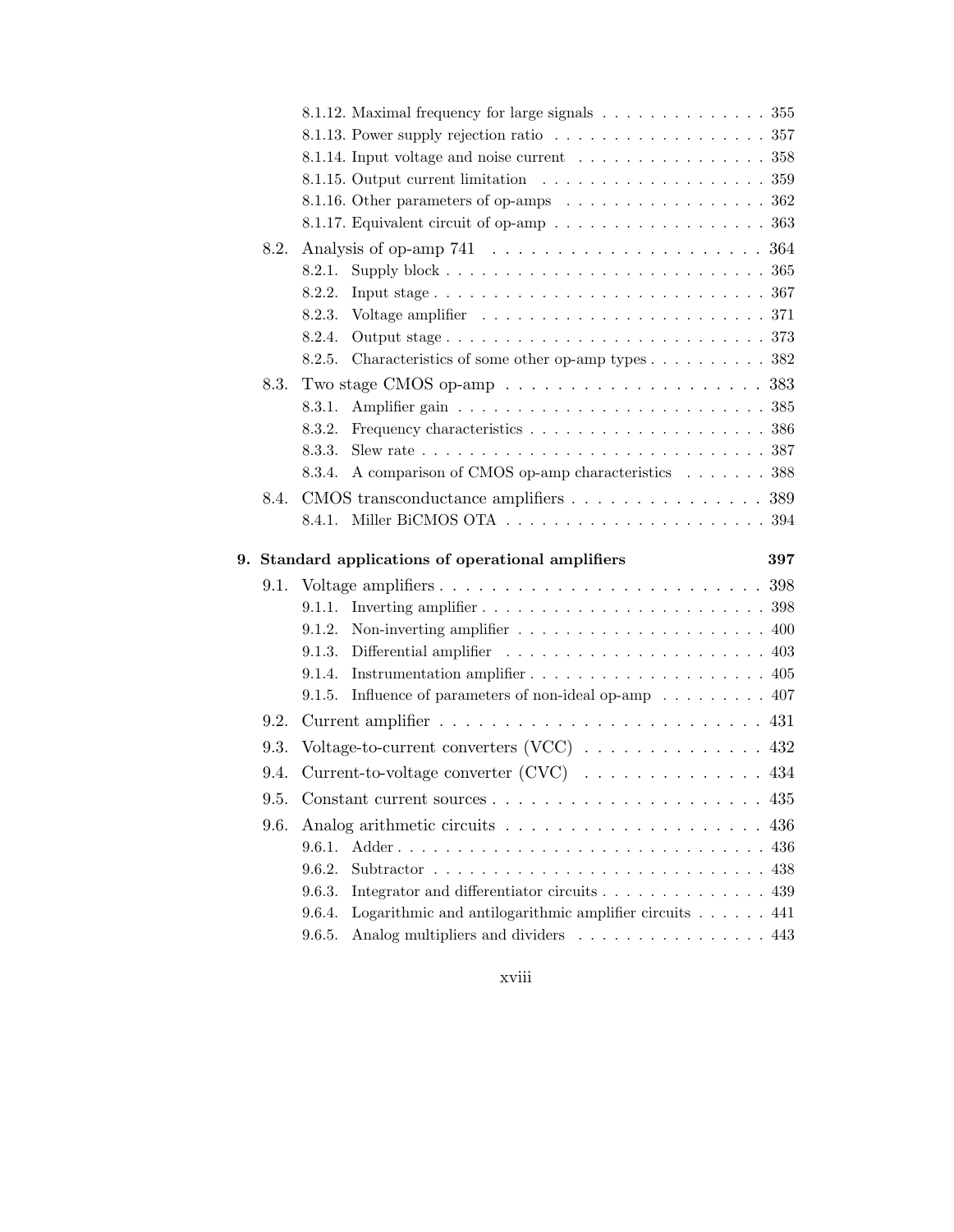|    |      |                                                                                                                           | 8.1.12. Maximal frequency for large signals 355                                             |  |     |
|----|------|---------------------------------------------------------------------------------------------------------------------------|---------------------------------------------------------------------------------------------|--|-----|
|    |      |                                                                                                                           | 8.1.13. Power supply rejection ratio $\ldots \ldots \ldots \ldots \ldots \ldots \ldots 357$ |  |     |
|    |      |                                                                                                                           | 8.1.14. Input voltage and noise current $\ldots \ldots \ldots \ldots \ldots 358$            |  |     |
|    |      |                                                                                                                           |                                                                                             |  |     |
|    |      |                                                                                                                           | 8.1.16. Other parameters of op-amps 362                                                     |  |     |
|    |      |                                                                                                                           | 8.1.17. Equivalent circuit of op-amp 363                                                    |  |     |
|    | 8.2. |                                                                                                                           |                                                                                             |  |     |
|    |      | 8.2.1.                                                                                                                    |                                                                                             |  |     |
|    |      | 8.2.2.                                                                                                                    |                                                                                             |  |     |
|    |      | 8.2.3.                                                                                                                    |                                                                                             |  |     |
|    |      | 8.2.4.                                                                                                                    |                                                                                             |  |     |
|    |      | 8.2.5.                                                                                                                    | Characteristics of some other op-amp types 382                                              |  |     |
|    | 8.3. |                                                                                                                           | Two stage CMOS op-amp $\ldots \ldots \ldots \ldots \ldots \ldots \ldots 383$                |  |     |
|    |      | 8.3.1.                                                                                                                    |                                                                                             |  |     |
|    |      | 8.3.2.                                                                                                                    |                                                                                             |  |     |
|    |      | 8.3.3.                                                                                                                    |                                                                                             |  |     |
|    |      | 8.3.4.                                                                                                                    | A comparison of CMOS op-amp characteristics 388                                             |  |     |
|    | 8.4. |                                                                                                                           | CMOS transconductance amplifiers 389                                                        |  |     |
|    |      | 8.4.1.                                                                                                                    |                                                                                             |  |     |
|    |      |                                                                                                                           |                                                                                             |  |     |
| 9. |      | Standard applications of operational amplifiers                                                                           |                                                                                             |  | 397 |
|    | 9.1. |                                                                                                                           |                                                                                             |  |     |
|    |      |                                                                                                                           |                                                                                             |  |     |
|    |      | 9.1.2.                                                                                                                    | Non-inverting amplifier $\ldots \ldots \ldots \ldots \ldots \ldots \ldots \ldots$ 400       |  |     |
|    |      | 9.1.3.                                                                                                                    |                                                                                             |  |     |
|    |      | 9.1.4.                                                                                                                    |                                                                                             |  |     |
|    |      | 9.1.5. Influence of parameters of non-ideal op-amp $\ldots \ldots \ldots$ 407                                             |                                                                                             |  |     |
|    | 9.2. |                                                                                                                           |                                                                                             |  |     |
|    | 9.3. | Current-to-voltage converter (CVC) 434<br>9.5. Constant current sources $\dots \dots \dots \dots \dots \dots \dots \dots$ |                                                                                             |  |     |
|    | 9.4. |                                                                                                                           |                                                                                             |  |     |
|    |      |                                                                                                                           |                                                                                             |  | 435 |
|    | 9.6. |                                                                                                                           |                                                                                             |  |     |
|    |      |                                                                                                                           |                                                                                             |  |     |
|    |      | 9.6.1.                                                                                                                    |                                                                                             |  | 436 |
|    |      | 9.6.2.                                                                                                                    |                                                                                             |  | 438 |
|    |      | 9.6.3.                                                                                                                    | Integrator and differentiator circuits 439                                                  |  |     |
|    |      | 9.6.4.                                                                                                                    | Logarithmic and antilogarithmic amplifier circuits 441 $\,$                                 |  |     |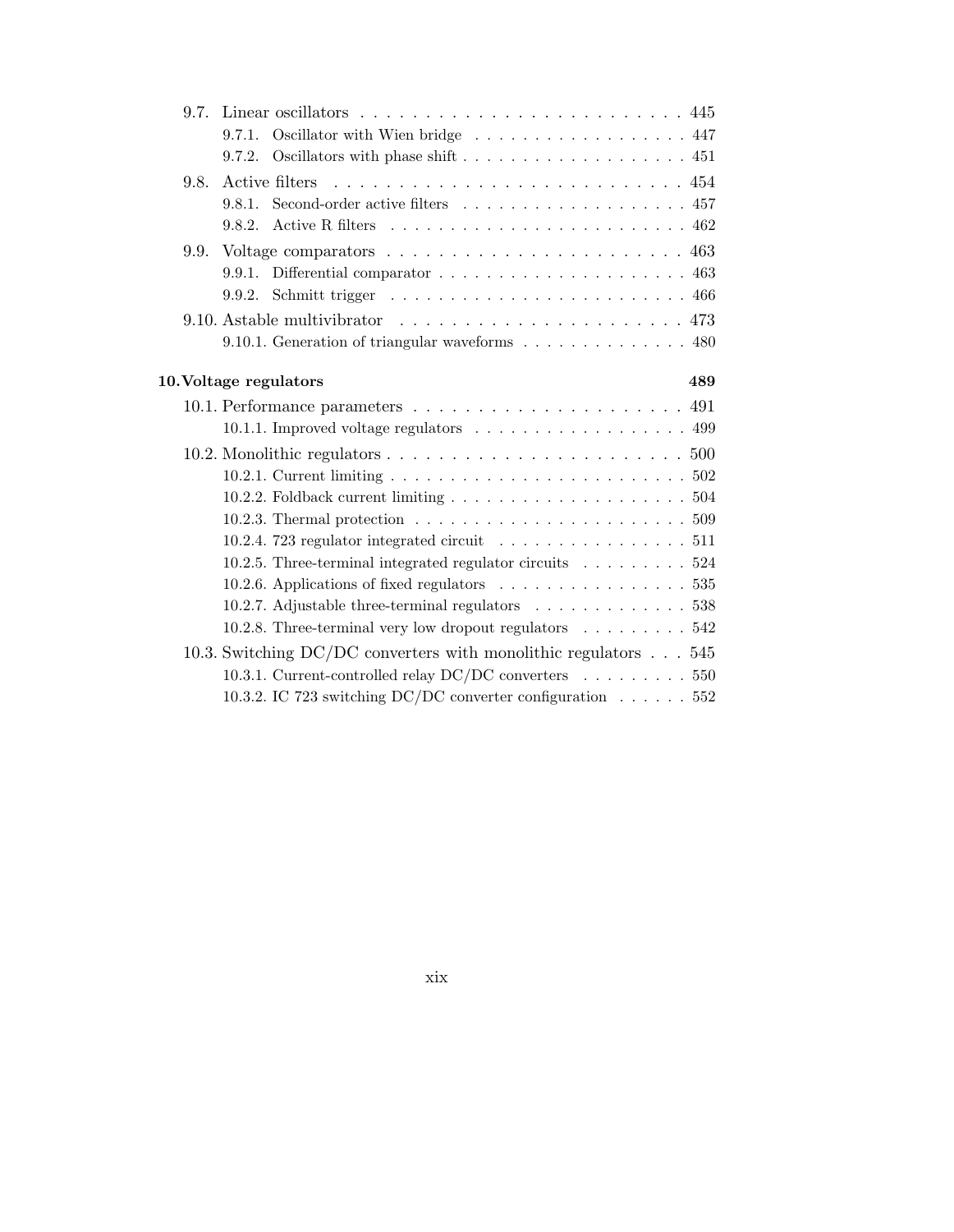| 9.7. |        | Linear oscillators $\dots \dots \dots \dots \dots \dots \dots \dots \dots \dots$                      |     |
|------|--------|-------------------------------------------------------------------------------------------------------|-----|
|      | 9.7.1. | Oscillator with Wien bridge 447                                                                       |     |
|      |        | 9.7.2. Oscillators with phase shift $\ldots \ldots \ldots \ldots \ldots \ldots$ 451                   |     |
| 9.8. |        |                                                                                                       |     |
|      | 9.8.1  |                                                                                                       |     |
|      |        |                                                                                                       |     |
| 9.9. |        | Voltage comparators $\ldots \ldots \ldots \ldots \ldots \ldots \ldots \ldots 463$                     |     |
|      |        | 9.9.1. Differential comparator $\ldots \ldots \ldots \ldots \ldots \ldots \ldots$ 463                 |     |
|      |        |                                                                                                       |     |
|      |        | 9.10. Astable multivibrator $\ldots \ldots \ldots \ldots \ldots \ldots \ldots 473$                    |     |
|      |        | 9.10.1. Generation of triangular waveforms 480                                                        |     |
|      |        |                                                                                                       |     |
|      |        | 10. Voltage regulators                                                                                | 489 |
|      |        |                                                                                                       |     |
|      |        | 10.1.1. Improved voltage regulators 499                                                               |     |
|      |        | 10.2. Monolithic regulators $\dots \dots \dots \dots \dots \dots \dots \dots \dots \dots \dots \dots$ |     |
|      |        |                                                                                                       |     |
|      |        | 10.2.2. Foldback current limiting $\ldots \ldots \ldots \ldots \ldots \ldots \ldots 504$              |     |
|      |        | 10.2.3. Thermal protection $\ldots \ldots \ldots \ldots \ldots \ldots \ldots \ldots 509$              |     |
|      |        | 10.2.4. 723 regulator integrated circuit 511                                                          |     |
|      |        | 10.2.5. Three-terminal integrated regulator circuits $\dots \dots \dots 524$                          |     |
|      |        | 10.2.6. Applications of fixed regulators 535                                                          |     |
|      |        | 10.2.7. Adjustable three-terminal regulators 538                                                      |     |
|      |        | 10.2.8. Three-terminal very low dropout regulators 542                                                |     |
|      |        | 10.3. Switching DC/DC converters with monolithic regulators $\dots$ 545                               |     |
|      |        | 10.3.1. Current-controlled relay DC/DC converters 550                                                 |     |
|      |        | 10.3.2. IC 723 switching DC/DC converter configuration $\ldots \ldots 552$                            |     |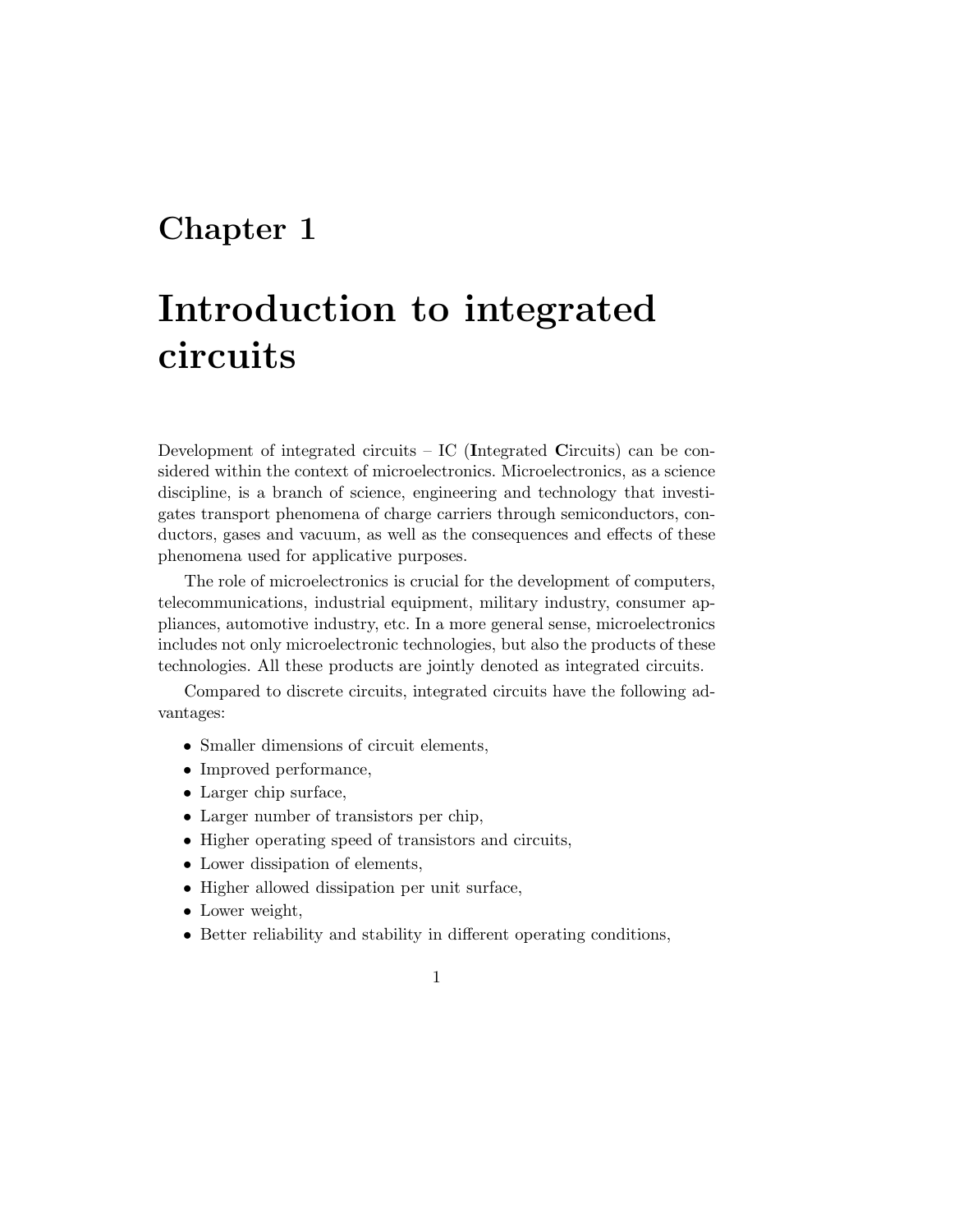#### Chapter 1

## Introduction to integrated circuits

Development of integrated circuits – IC (Integrated Circuits) can be considered within the context of microelectronics. Microelectronics, as a science discipline, is a branch of science, engineering and technology that investigates transport phenomena of charge carriers through semiconductors, conductors, gases and vacuum, as well as the consequences and effects of these phenomena used for applicative purposes.

The role of microelectronics is crucial for the development of computers, telecommunications, industrial equipment, military industry, consumer appliances, automotive industry, etc. In a more general sense, microelectronics includes not only microelectronic technologies, but also the products of these technologies. All these products are jointly denoted as integrated circuits.

Compared to discrete circuits, integrated circuits have the following advantages:

- Smaller dimensions of circuit elements,
- Improved performance,
- Larger chip surface,
- Larger number of transistors per chip,
- Higher operating speed of transistors and circuits,
- Lower dissipation of elements,
- Higher allowed dissipation per unit surface,
- Lower weight,
- Better reliability and stability in different operating conditions,